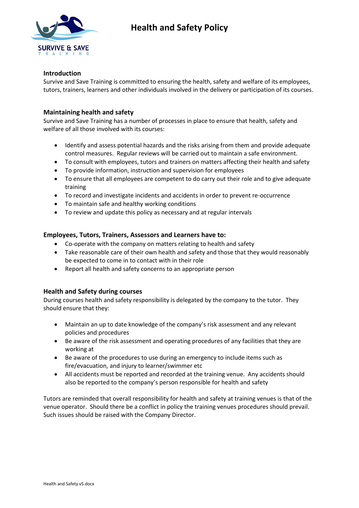

## **Health and Safety Policy**

#### **Introduction**

Survive and Save Training is committed to ensuring the health, safety and welfare of its employees, tutors, trainers, learners and other individuals involved in the delivery or participation of its courses.

### **Maintaining health and safety**

Survive and Save Training has a number of processes in place to ensure that health, safety and welfare of all those involved with its courses:

- Identify and assess potential hazards and the risks arising from them and provide adequate control measures. Regular reviews will be carried out to maintain a safe environment.
- To consult with employees, tutors and trainers on matters affecting their health and safety
- To provide information, instruction and supervision for employees
- To ensure that all employees are competent to do carry out their role and to give adequate training
- To record and investigate incidents and accidents in order to prevent re-occurrence
- To maintain safe and healthy working conditions
- To review and update this policy as necessary and at regular intervals

#### **Employees, Tutors, Trainers, Assessors and Learners have to:**

- Co-operate with the company on matters relating to health and safety
- Take reasonable care of their own health and safety and those that they would reasonably be expected to come in to contact with in their role
- Report all health and safety concerns to an appropriate person

#### **Health and Safety during courses**

During courses health and safety responsibility is delegated by the company to the tutor. They should ensure that they:

- Maintain an up to date knowledge of the company's risk assessment and any relevant policies and procedures
- Be aware of the risk assessment and operating procedures of any facilities that they are working at
- Be aware of the procedures to use during an emergency to include items such as fire/evacuation, and injury to learner/swimmer etc
- All accidents must be reported and recorded at the training venue. Any accidents should also be reported to the company's person responsible for health and safety

Tutors are reminded that overall responsibility for health and safety at training venues is that of the venue operator. Should there be a conflict in policy the training venues procedures should prevail. Such issues should be raised with the Company Director.